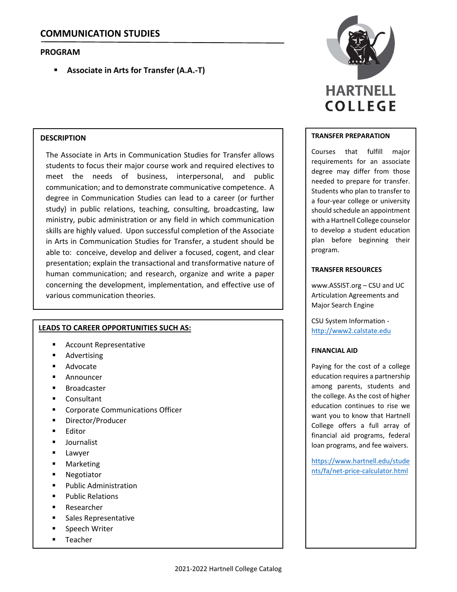# **PROGRAM**

**Associate in Arts for Transfer (A.A.‐T)**

## **DESCRIPTION**

The Associate in Arts in Communication Studies for Transfer allows students to focus their major course work and required electives to meet the needs of business, interpersonal, and public communication; and to demonstrate communicative competence. A degree in Communication Studies can lead to a career (or further study) in public relations, teaching, consulting, broadcasting, law ministry, pubic administration or any field in which communication skills are highly valued. Upon successful completion of the Associate in Arts in Communication Studies for Transfer, a student should be able to: conceive, develop and deliver a focused, cogent, and clear presentation; explain the transactional and transformative nature of human communication; and research, organize and write a paper concerning the development, implementation, and effective use of various communication theories.

### **LEADS TO CAREER OPPORTUNITIES SUCH AS:**

- Account Representative
- Advertising
- Advocate
- Announcer
- Broadcaster
- Consultant
- Corporate Communications Officer
- Director/Producer
- **Editor**
- Journalist
- **Lawyer**
- **-** Marketing
- Negotiator
- Public Administration
- Public Relations
- Researcher
- Sales Representative
- **Speech Writer**
- **Teacher**



### **TRANSFER PREPARATION**

Courses that fulfill major requirements for an associate degree may differ from those needed to prepare for transfer. Students who plan to transfer to a four‐year college or university should schedule an appointment with a Hartnell College counselor to develop a student education plan before beginning their program.

## **TRANSFER RESOURCES**

www.ASSIST.org – CSU and UC Articulation Agreements and Major Search Engine

CSU System Information ‐ http://www2.calstate.edu

### **FINANCIAL AID**

Paying for the cost of a college education requires a partnership among parents, students and the college. As the cost of higher education continues to rise we want you to know that Hartnell College offers a full array of financial aid programs, federal loan programs, and fee waivers.

https://www.hartnell.edu/stude nts/fa/net‐price‐calculator.html